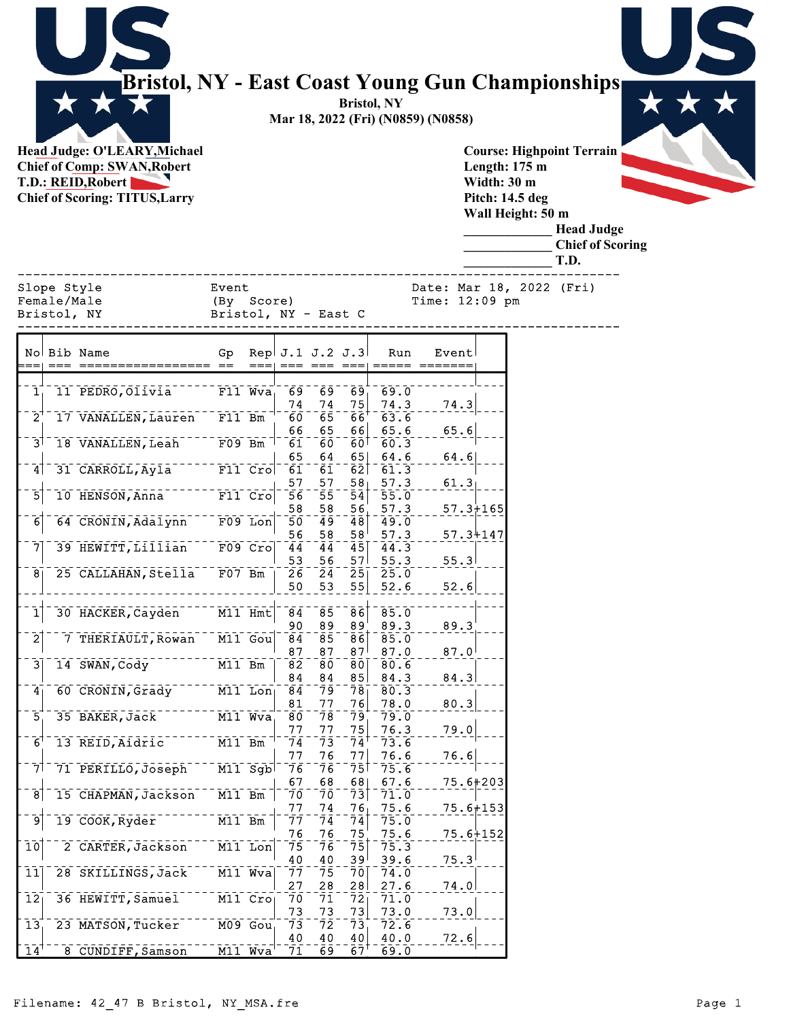|                      |                            | Bristol, NY - East Coast Young Gun Championships<br>Head Judge: O'LEARY, Michael<br><b>Chief of Comp: SWAN, Robert</b><br><b>T.D.: REID, Robert</b><br><b>Chief of Scoring: TITUS, Larry</b> |                                    |             |                                  |                                  |                                    | <b>Bristol, NY</b><br>Mar 18, 2022 (Fri) (N0859) (N0858) |                  |              |              | Length: $175 \text{ m}$<br>Width: 30 m<br>Pitch: 14.5 deg<br>Wall Height: 50 m | <b>Course: Highpoint Terrain</b><br><b>Head Judge</b><br><b>Chief of Scoring</b> |  |  |  |
|----------------------|----------------------------|----------------------------------------------------------------------------------------------------------------------------------------------------------------------------------------------|------------------------------------|-------------|----------------------------------|----------------------------------|------------------------------------|----------------------------------------------------------|------------------|--------------|--------------|--------------------------------------------------------------------------------|----------------------------------------------------------------------------------|--|--|--|
|                      | Slope Style                |                                                                                                                                                                                              | Event                              |             |                                  |                                  |                                    |                                                          |                  |              |              |                                                                                | T.D.<br>Date: Mar 18, 2022 (Fri)                                                 |  |  |  |
|                      | Female/Male<br>Bristol, NY |                                                                                                                                                                                              | (By Score)<br>Bristol, NY - East C |             |                                  |                                  |                                    |                                                          | Time: 12:09 pm   |              |              |                                                                                |                                                                                  |  |  |  |
|                      |                            | No Bib Name                                                                                                                                                                                  | Gp                                 |             | Rep $J.1 J.2 J.3$                |                                  |                                    | Run                                                      | Event            |              |              |                                                                                |                                                                                  |  |  |  |
| $\mathbf{1}_{\perp}$ |                            | 11 PEDRO, Olivia                                                                                                                                                                             |                                    | $F11$ $Wva$ | 69                               | 69                               | $\overline{69}$                    | 69.0                                                     |                  |              |              |                                                                                |                                                                                  |  |  |  |
| 2 <sup>1</sup>       |                            | 17 VANALLEN, Lauren                                                                                                                                                                          | F11 Bm                             |             | 74<br>60                         | 74<br>$\bar{6}5$                 | 75<br>$\overline{66}$              | 74.3<br>63.6                                             | 74.3             |              |              |                                                                                |                                                                                  |  |  |  |
| 3'                   |                            | 18 VANALLEN, Leah                                                                                                                                                                            | $F09$ Bm                           |             | 66<br>$\overline{61}$            | 65<br>$\bar{6}\bar{0}$           | 66<br>60 <sup>1</sup>              | 65.6<br>60.3                                             | 65.6             |              |              |                                                                                |                                                                                  |  |  |  |
| 4                    |                            | 31 CARROLL, Ayla                                                                                                                                                                             | $F11$ $Crol$                       |             | 65<br>61                         | 64<br>$\bar{6}\bar{1}$           | 65<br>62                           | 64.6<br>61.3                                             | 64.6             |              |              |                                                                                |                                                                                  |  |  |  |
| 5                    |                            | 10 HENSON, Anna                                                                                                                                                                              | $F11$ $Cro$                        |             | 57<br>56                         | 57<br>55                         | 58 <sub>1</sub><br>54              | 57.3<br>55.0                                             | 61.3             |              |              |                                                                                |                                                                                  |  |  |  |
| 6                    |                            | 64 CRONIN, Adalynn                                                                                                                                                                           | F09 Lon                            |             | 58<br>$\overline{50}$            | 58<br>$\overline{49}$            | 56<br>48                           | 57.3<br>49.0                                             |                  | $57.3 + 165$ |              |                                                                                |                                                                                  |  |  |  |
| 71                   |                            | 39 HEWITT, Lillian                                                                                                                                                                           |                                    | $F09$ Cro   | 56<br>$\overline{4}\overline{4}$ | 58<br>$\bar{4}\bar{4}$           | 58'<br>45                          | 57.3<br>44.3                                             |                  | 57.34147     |              |                                                                                |                                                                                  |  |  |  |
| 8 <sub>1</sub>       |                            | 25 CALLAHAN, Stella                                                                                                                                                                          | $F07$ Bm                           |             | 53<br>$\bar{2}\bar{6}$           | 56<br>$\overline{2}\overline{4}$ | 57 <sup>1</sup><br>25              | 55.3<br>25.0                                             |                  | 55.3         |              |                                                                                |                                                                                  |  |  |  |
|                      |                            |                                                                                                                                                                                              |                                    |             | 50                               | 53                               | 55                                 | 52.6                                                     | 52.6             |              |              |                                                                                |                                                                                  |  |  |  |
| 1                    |                            | 30 HACKER, Cayden                                                                                                                                                                            | $M11$ Hmt                          |             | $\overline{84}$                  | $\overline{8}\bar{5}$            | $\bar{8}\bar{6}$                   | 85.0                                                     |                  |              |              |                                                                                |                                                                                  |  |  |  |
| $\overline{2}$       |                            | 7 THERIAULT, Rowan                                                                                                                                                                           | M11 Gou                            |             | 90<br>$\overline{84}$            | 89<br>$\bar{8}\bar{5}$           | 89<br>86                           | 89.3<br>85.0                                             | 89.3             |              |              |                                                                                |                                                                                  |  |  |  |
| $\overline{3}$       |                            | 14 SWAN, Cody                                                                                                                                                                                | M11 Bm                             |             | 87<br>$\bar{8}\bar{2}$           | 87<br>$\bar{8}\bar{0}$           | 87 <sup>1</sup><br>$\overline{80}$ | 87.0<br>80.6                                             | $87.0^{+}$       |              |              |                                                                                |                                                                                  |  |  |  |
| 4                    |                            | 60 CRONIN, Grady                                                                                                                                                                             | M11 Lon                            |             | 84<br>$\overline{84}$            | 84<br>79                         | 85<br>78                           | 84.3<br>80.3                                             | 84.3             |              |              |                                                                                |                                                                                  |  |  |  |
|                      |                            |                                                                                                                                                                                              |                                    |             | 81                               | 77                               | 76                                 | 78.0                                                     | 80.3             |              |              |                                                                                |                                                                                  |  |  |  |
| $\overline{5}$       |                            | 35 BAKER, Jack                                                                                                                                                                               | $M11$ Wva                          |             | 8Ō<br>77                         | $\bar{7}\bar{8}$<br>77           | 79<br>75                           | 79.0<br>76.3                                             | 79.0             |              |              |                                                                                |                                                                                  |  |  |  |
| $\overline{6}$       |                            | 13 REID, Aidric                                                                                                                                                                              | $M11$ Bm                           |             | $\bar{7}\bar{4}$<br>77           | $\bar{7}\bar{3}$<br>76           | 74'<br>77                          | 73.6<br>76.6                                             | 76.6             |              |              |                                                                                |                                                                                  |  |  |  |
| 7 <sup>1</sup>       |                            | 71 PERILLO, Joseph                                                                                                                                                                           | $M11$ Sgb                          |             | 76                               | 76                               | 75                                 | 75.6                                                     |                  |              |              |                                                                                |                                                                                  |  |  |  |
| 8                    |                            | 15 CHAPMAN, Jackson                                                                                                                                                                          | $M11$ Bm                           |             | 67<br>7ō                         | 68<br>$\bar{7}\bar{0}$           | 68<br>$\overline{7}3$              | 67.6<br>71.0                                             |                  | 75.6+203     |              |                                                                                |                                                                                  |  |  |  |
| 9                    |                            | 19 COOK,Ryder                                                                                                                                                                                | $M11$ Bm                           |             | 77<br>$\bar{7}\bar{7}$           | 74<br>$\bar{7}\bar{4}$           | 76<br>$\overline{7}4$              | 75.6<br>75.0                                             |                  |              | $75.6 + 153$ |                                                                                |                                                                                  |  |  |  |
|                      |                            |                                                                                                                                                                                              |                                    |             | 76                               | 76                               | 75                                 | 75.6                                                     |                  |              | 75.6+152     |                                                                                |                                                                                  |  |  |  |
| $\overline{10}$      |                            | 2 CARTER, Jackson                                                                                                                                                                            | M11 Lon                            |             | 75<br>40                         | 76<br>40                         | 75<br>39 <sup>1</sup>              | 75.3<br>39.6                                             | $75.3^{\dagger}$ |              |              |                                                                                |                                                                                  |  |  |  |

 $\begin{array}{r|l|l} 27 & 28 & 28 & 27.6 & 74.0 \\ \hline 70 & 71 & 72 & 71.0 & 73.0 \\ 73 & 73 & 73 & 73 & 73.0 \\ \hline 73 & 72 & 73 & 72.6 & 73.0 \\ 40 & 40 & 40 & 40.0 & 72.6 \\ \hline 71 & 69 & 67 & 69.0 & 72.6 \end{array}$ 

73 73 73 73.0 73.0

40 40 40 40.0 72.6

 $14$ <sup>---</sup>8 CUNDIFF,Samson M11 Wva

12 36 HEWITT, Samuel M11 Cro 70<br>13 23 MATSON, Tucker M09 Gou 73

13 23 MATSON, Tucker M09 Gou 73<br>14 23 CUNDIFF, Samson M11 Wva 71

11 28 SKILLINGS, Jack M11 Wva 77 75 75 76<br>
12 36 HEWITT, Samuel M11 Cro 70 71 72<br>
13 23 MATSON, Tucker M09 Gou 73 72 73<br>
14 8 CUNDIFF, Samson M11 Wva 71 69 67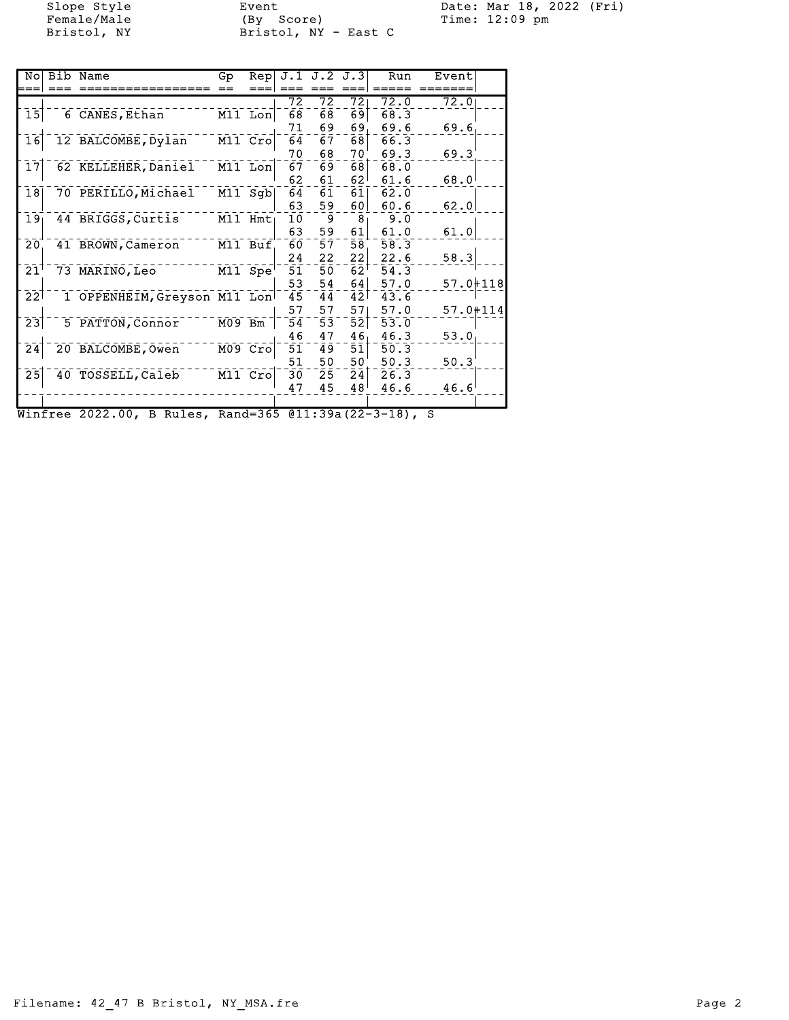Female/Male (By Score) Time: 12:09 pm Bristol, NY Bristol, NY - East C

Slope Style Event Date: Mar 18, 2022 (Fri)

| No                         | Bib Name                     | Gp       | Rep       |    | $J.1$ $J.2$ $J.3$ |                 | Run  | Event        |  |
|----------------------------|------------------------------|----------|-----------|----|-------------------|-----------------|------|--------------|--|
|                            |                              |          |           |    |                   |                 |      |              |  |
|                            |                              |          |           | 72 | 72                | 72              | 72.0 | 72.0         |  |
| 15                         | 6 CANES, Ethan               |          | $M11$ Lon | 68 | 68                | 69              | 68.3 |              |  |
|                            |                              |          |           | 71 | 69                | 69.             | 69.6 | 69.6         |  |
| $\overline{16}$            | 12 BALCOMBE, Dylan           |          | M11 Cro   | 64 | 67                | 681             | 66.3 |              |  |
|                            |                              |          |           | 70 | 68                | 70              | 69.3 | 69.3         |  |
| $\overline{17}$            | 62 KELLEHER, Daniel          |          | M11 Lon   | 67 | 69                | 681             | 68.0 |              |  |
|                            |                              |          |           | 62 | 61                | 62              | 61.6 | 68.0         |  |
| 18                         | 70 PERILLO, Michael          |          | M11 Sab   | 64 | 61                | 61              | 62.0 |              |  |
|                            |                              |          |           | 63 | 59                | 601             | 60.6 | 62.0         |  |
| 19 <sub>1</sub>            | 44 BRIGGS, Curtis            |          | M11 Hmt   | 10 | 9                 | 8 <sub>1</sub>  | 9.0  |              |  |
|                            |                              |          |           | 63 | 59                | 61              | 61.0 | 61.0         |  |
| 20                         | 41 BROWN, Cameron            |          | M11 Buf   | 60 | 57                | 58              | 58.3 |              |  |
|                            |                              |          |           | 24 | 22                | 22              | 22.6 | 58.3         |  |
| $\bar{2}1$ <sup>-</sup>    | 73 MARINO, Leo               |          | M11 Spe   | 51 | 50                | 62'             | 54.3 |              |  |
|                            |                              |          |           | 53 | 54                | 641             | 57.0 | $57.0 + 118$ |  |
| $\overline{2}\overline{2}$ | 1 OPPENHEIM, Greyson M11 Lon |          |           | 45 | 44                | 42 <sub>1</sub> | 43.6 |              |  |
|                            |                              |          |           | 57 | 57                | 571             | 57.0 | 57.0+114     |  |
| 23                         | 5 PATTON, Connor             | $M09$ Bm |           | 54 | 53                | 52              | 53.0 |              |  |
|                            |                              |          |           | 46 | 47                | 46 <sub>1</sub> | 46.3 | 53.0         |  |
| 24                         | 20 BALCOMBE, Owen            |          | M09 Cro   | 51 | 49                | 51              | 50.3 |              |  |
|                            |                              |          |           | 51 | 50                | 50              | 50.3 | 50.3         |  |
| $\overline{25}$            | 40 TOSSELL, Caleb            |          | M11 Cro   | 30 | 25                | 24              | 26.3 |              |  |
|                            |                              |          |           | 47 | 45                | 48              | 46.6 | 46.6         |  |
|                            |                              |          |           |    |                   |                 |      |              |  |
|                            |                              |          |           |    |                   |                 |      |              |  |

Winfree 2022.00, B Rules, Rand=365 @11:39a(22-3-18), S